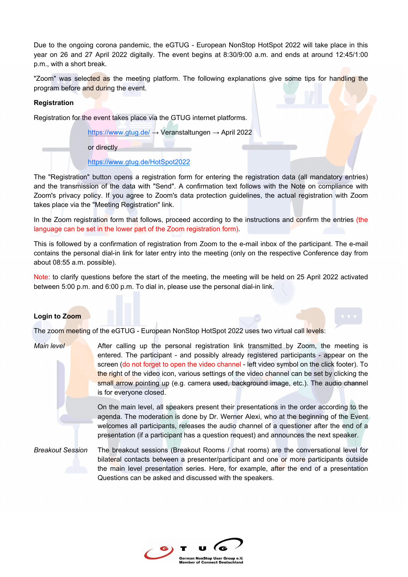Due to the ongoing corona pandemic, the eGTUG - European NonStop HotSpot 2022 will take place in this year on 26 and 27 April 2022 digitally. The event begins at 8:30/9:00 a.m. and ends at around 12:45/1:00 p.m., with a short break.

"Zoom" was selected as the meeting platform. The following explanations give some tips for handling the program before and during the event.

### **Registration**

Registration for the event takes place via the GTUG internet platforms.

https://www.gtug.de/ → Veranstaltungen → April 2022

or directly

https://www.gtug.de/HotSpot2022

The "Registration" button opens a registration form for entering the registration data (all mandatory entries) and the transmission of the data with "Send". A confirmation text follows with the Note on compliance with Zoom's privacy policy. If you agree to Zoom's data protection guidelines, the actual registration with Zoom takes place via the "Meeting Registration" link.

In the Zoom registration form that follows, proceed according to the instructions and confirm the entries (the language can be set in the lower part of the Zoom registration form).

This is followed by a confirmation of registration from Zoom to the e-mail inbox of the participant. The e-mail contains the personal dial-in link for later entry into the meeting (only on the respective Conference day from about 08:55 a.m. possible).

Note: to clarify questions before the start of the meeting, the meeting will be held on 25 April 2022 activated between 5:00 p.m. and 6:00 p.m. To dial in, please use the personal dial-in link.

### **Login to Zoom**

The zoom meeting of the eGTUG - European NonStop HotSpot 2022 uses two virtual call levels:

*Main level* After calling up the personal registration link transmitted by Zoom, the meeting is entered. The participant - and possibly already registered participants - appear on the screen (do not forget to open the video channel - left video symbol on the click footer). To the right of the video icon, various settings of the video channel can be set by clicking the small arrow pointing up (e.g. camera used, background image, etc.). The audio channel is for everyone closed.

> On the main level, all speakers present their presentations in the order according to the agenda. The moderation is done by Dr. Werner Alexi, who at the beginning of the Event welcomes all participants, releases the audio channel of a questioner after the end of a presentation (if a participant has a question request) and announces the next speaker.

*Breakout Session* The breakout sessions (Breakout Rooms / chat rooms) are the conversational level for bilateral contacts between a presenter/participant and one or more participants outside the main level presentation series. Here, for example, after the end of a presentation Questions can be asked and discussed with the speakers.

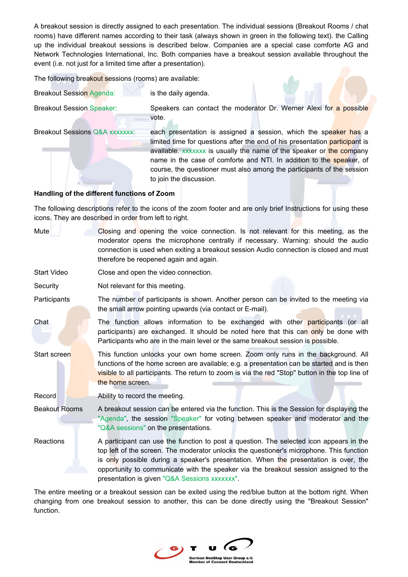A breakout session is directly assigned to each presentation. The individual sessions (Breakout Rooms / chat rooms) have different names according to their task (always shown in green in the following text). the Calling up the individual breakout sessions is described below. Companies are a special case comforte AG and Network Technologies International, Inc. Both companies have a breakout session available throughout the event (i.e. not just for a limited time after a presentation).

The following breakout sessions (rooms) are available:

| <b>Breakout Session Agenda:</b> | is the daily agenda. |  |
|---------------------------------|----------------------|--|
|                                 |                      |  |

Breakout Session Speaker: Speakers can contact the moderator Dr. Werner Alexi for a possible vote.

Breakout Sessions Q&A xxxxxxx: each presentation is assigned a session, which the speaker has a limited time for questions after the end of his presentation participant is available. xxxxxx is usually the name of the speaker or the company name in the case of comforte and NTI. In addition to the speaker, of course, the questioner must also among the participants of the session to join the discussion.

## **Handling of the different functions of Zoom**

The following descriptions refer to the icons of the zoom footer and are only brief Instructions for using these icons. They are described in order from left to right.

| Mute                 | Closing and opening the voice connection. Is not relevant for this meeting, as the<br>moderator opens the microphone centrally if necessary. Warning: should the audio<br>connection is used when exiting a breakout session Audio connection is closed and must<br>therefore be reopened again and again.                                                                                                           |
|----------------------|----------------------------------------------------------------------------------------------------------------------------------------------------------------------------------------------------------------------------------------------------------------------------------------------------------------------------------------------------------------------------------------------------------------------|
| Start Video          | Close and open the video connection.                                                                                                                                                                                                                                                                                                                                                                                 |
| Security             | Not relevant for this meeting.                                                                                                                                                                                                                                                                                                                                                                                       |
| Participants         | The number of participants is shown. Another person can be invited to the meeting via<br>the small arrow pointing upwards (via contact or E-mail).                                                                                                                                                                                                                                                                   |
| Chat                 | The function allows information to be exchanged with other <b>participants</b> (or all<br>participants) are exchanged. It should be noted here that this can only be done with<br>Participants who are in the main level or the same breakout session is possible.                                                                                                                                                   |
| Start screen         | This function unlocks your own home screen. Zoom only runs in the background. All<br>functions of the home screen are available; e.g. a presentation can be started and is then<br>visible to all participants. The return to zoom is via the red "Stop" button in the top line of<br>the home screen.                                                                                                               |
| Record               | Ability to record the meeting.                                                                                                                                                                                                                                                                                                                                                                                       |
| <b>Beakout Rooms</b> | A breakout session can be entered via the function. This is the Session for displaying the<br>"Agenda", the session "Speaker" for voting between speaker and moderator and the<br>"Q&A sessions" on the presentations.                                                                                                                                                                                               |
| Reactions            | A participant can use the function to post a question. The selected icon appears in the<br>top left of the screen. The moderator unlocks the questioner's microphone. This function<br>is only possible during a speaker's presentation. When the presentation is over, the<br>opportunity to communicate with the speaker via the breakout session assigned to the<br>presentation is given "Q&A Sessions xxxxxxx". |

The entire meeting or a breakout session can be exited using the red/blue button at the bottom right. When changing from one breakout session to another, this can be done directly using the "Breakout Session" function.